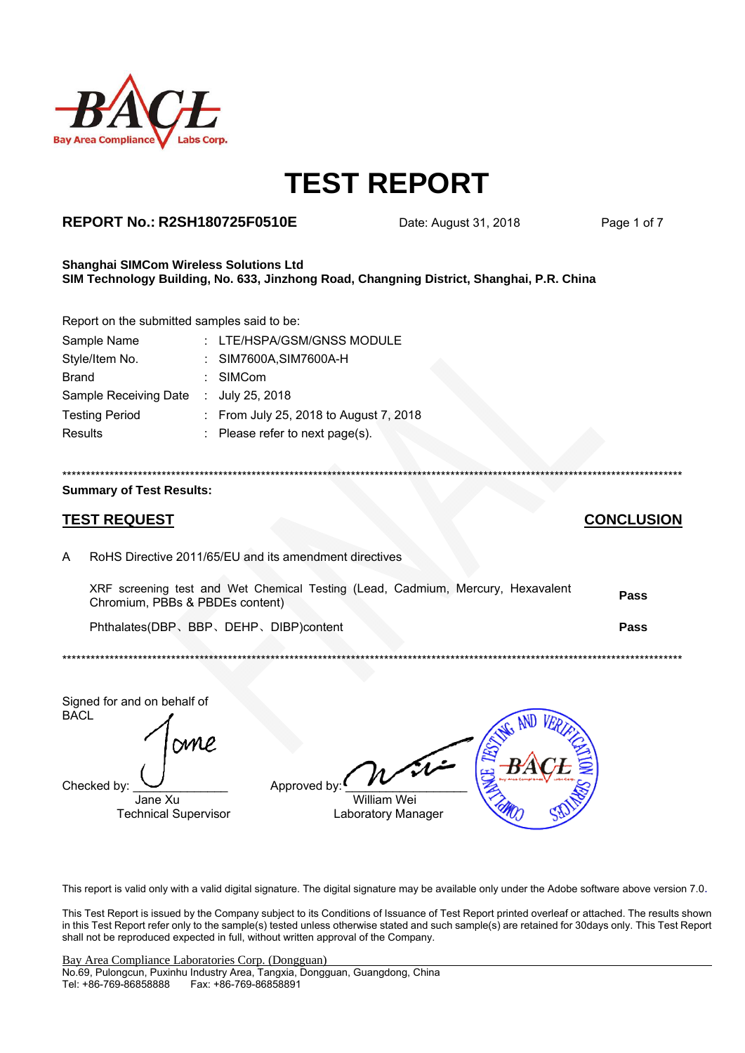

### **REPORT No.: R2SH180725F0510E** Date: August 31, 2018 Page 1 of 7

#### **Shanghai SIMCom Wireless Solutions Ltd SIM Technology Building, No. 633, Jinzhong Road, Changning District, Shanghai, P.R. China**

Report on the submitted samples said to be:

| Sample Name           | : LTE/HSPA/GSM/GNSS MODULE             |
|-----------------------|----------------------------------------|
| Style/Item No.        | : SIM7600A, SIM7600A-H                 |
| <b>Brand</b>          | : SIMCom                               |
| Sample Receiving Date | : $July 25, 2018$                      |
| <b>Testing Period</b> | : From July 25, 2018 to August 7, 2018 |
| <b>Results</b>        | : Please refer to next page(s).        |
|                       |                                        |

# \*\*\*\*\*\*\*\*\*\*\*\*\*\*\*\*\*\*\*\*\*\*\*\*\*\*\*\*\*\*\*\*\*\*\*\*\*\*\*\*\*\*\*\*\*\*\*\*\*\*\*\*\*\*\*\*\*\*\*\*\*\*\*\*\*\*\*\*\*\*\*\*\*\*\*\*\*\*\*\*\*\*\*\*\*\*\*\*\*\*\*\*\*\*\*\*\*\*\*\*\*\*\*\*\*\*\*\*\*\*\*\*\*\*\*\*\*\*\*\*\*\*\*\*\*\*\*\*\*\*\*

#### **Summary of Test Results:**

## **TEST REQUEST CONCLUSION**

A RoHS Directive 2011/65/EU and its amendment directives

| XRF screening test and Wet Chemical Testing (Lead, Cadmium, Mercury, Hexavalent<br>Chromium, PBBs & PBDEs content). | <b>Pass</b> |
|---------------------------------------------------------------------------------------------------------------------|-------------|
| Phthalates(DBP、BBP、DEHP、DIBP)content                                                                                | Pass        |

\*\*\*\*\*\*\*\*\*\*\*\*\*\*\*\*\*\*\*\*\*\*\*\*\*\*\*\*\*\*\*\*\*\*\*\*\*\*\*\*\*\*\*\*\*\*\*\*\*\*\*\*\*\*\*\*\*\*\*\*\*\*\*\*\*\*\*\*\*\*\*\*\*\*\*\*\*\*\*\*\*\*\*\*\*\*\*\*\*\*\*\*\*\*\*\*\*\*\*\*\*\*\*\*\*\*\*\*\*\*\*\*\*\*\*\*\*\*\*\*\*\*\*\*\*\*\*\*\*\*\*

Signed for and on behalf of BACL

Checked by:  $\frac{1}{\text{Jane Xu}}$  Approved by

**William Wei** Technical Supervisor Laboratory Manager

This report is valid only with a valid digital signature. The digital signature may be available only under the Adobe software above version 7.0.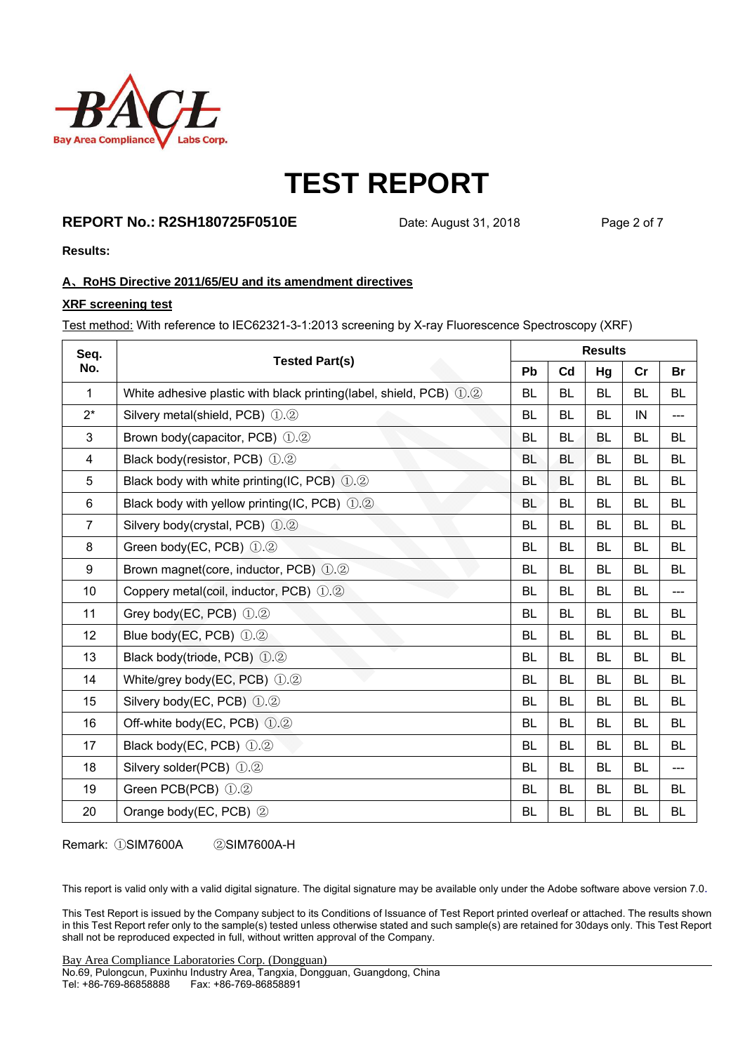

### **REPORT No.: R2SH180725F0510E** Date: August 31, 2018 Page 2 of 7

**Results:** 

### **A**、**RoHS Directive 2011/65/EU and its amendment directives**

### **XRF screening test**

Test method: With reference to IEC62321-3-1:2013 screening by X-ray Fluorescence Spectroscopy (XRF)

| Seq.             | <b>Tested Part(s)</b>                                              |           | <b>Results</b> |           |           |           |  |  |
|------------------|--------------------------------------------------------------------|-----------|----------------|-----------|-----------|-----------|--|--|
| No.              |                                                                    | Pb        | C <sub>d</sub> | Hg        | cr        | Br        |  |  |
| $\mathbf{1}$     | White adhesive plastic with black printing(label, shield, PCB) 1.2 | <b>BL</b> | <b>BL</b>      | <b>BL</b> | <b>BL</b> | <b>BL</b> |  |  |
| $2^*$            | Silvery metal(shield, PCB) 1.2                                     | <b>BL</b> | <b>BL</b>      | <b>BL</b> | IN        | ---       |  |  |
| 3                | Brown body(capacitor, PCB) 1.2                                     | BL        | <b>BL</b>      | <b>BL</b> | <b>BL</b> | <b>BL</b> |  |  |
| 4                | Black body(resistor, PCB) 1.2                                      | <b>BL</b> | <b>BL</b>      | <b>BL</b> | <b>BL</b> | <b>BL</b> |  |  |
| 5                | Black body with white printing(IC, PCB) $(1.2)$                    | <b>BL</b> | <b>BL</b>      | <b>BL</b> | <b>BL</b> | <b>BL</b> |  |  |
| 6                | Black body with yellow printing(IC, PCB) 1.2                       | <b>BL</b> | <b>BL</b>      | <b>BL</b> | BL        | <b>BL</b> |  |  |
| $\overline{7}$   | Silvery body(crystal, PCB) 1.2                                     | <b>BL</b> | <b>BL</b>      | <b>BL</b> | <b>BL</b> | <b>BL</b> |  |  |
| 8                | Green body(EC, PCB) 1.2                                            | <b>BL</b> | <b>BL</b>      | <b>BL</b> | <b>BL</b> | <b>BL</b> |  |  |
| $\boldsymbol{9}$ | Brown magnet(core, inductor, PCB) 1.2                              | <b>BL</b> | <b>BL</b>      | <b>BL</b> | <b>BL</b> | <b>BL</b> |  |  |
| 10               | Coppery metal(coil, inductor, PCB) 1.2                             | BL        | <b>BL</b>      | BL        | BL        | $---$     |  |  |
| 11               | Grey body(EC, PCB) 1.2                                             | <b>BL</b> | <b>BL</b>      | BL        | BL        | <b>BL</b> |  |  |
| 12               | Blue body(EC, PCB) 1.2                                             | <b>BL</b> | <b>BL</b>      | <b>BL</b> | <b>BL</b> | <b>BL</b> |  |  |
| 13               | Black body(triode, PCB) 1.2                                        | <b>BL</b> | <b>BL</b>      | <b>BL</b> | <b>BL</b> | <b>BL</b> |  |  |
| 14               | White/grey body(EC, PCB) $(1.2)$                                   | <b>BL</b> | <b>BL</b>      | <b>BL</b> | <b>BL</b> | <b>BL</b> |  |  |
| 15               | Silvery body(EC, PCB) 1.2                                          | <b>BL</b> | <b>BL</b>      | <b>BL</b> | <b>BL</b> | <b>BL</b> |  |  |
| 16               | Off-white body(EC, PCB) 1.2                                        | <b>BL</b> | <b>BL</b>      | <b>BL</b> | <b>BL</b> | <b>BL</b> |  |  |
| 17               | Black body(EC, PCB) 1.2                                            | <b>BL</b> | <b>BL</b>      | <b>BL</b> | <b>BL</b> | <b>BL</b> |  |  |
| 18               | Silvery solder(PCB) 1.2                                            | <b>BL</b> | <b>BL</b>      | <b>BL</b> | <b>BL</b> | $---$     |  |  |
| 19               | Green PCB(PCB) 1.2                                                 | <b>BL</b> | <b>BL</b>      | <b>BL</b> | <b>BL</b> | <b>BL</b> |  |  |
| 20               | Orange body(EC, PCB) 2                                             | BL        | <b>BL</b>      | <b>BL</b> | <b>BL</b> | <b>BL</b> |  |  |

Remark: ①SIM7600A ②SIM7600A-H

This report is valid only with a valid digital signature. The digital signature may be available only under the Adobe software above version 7.0.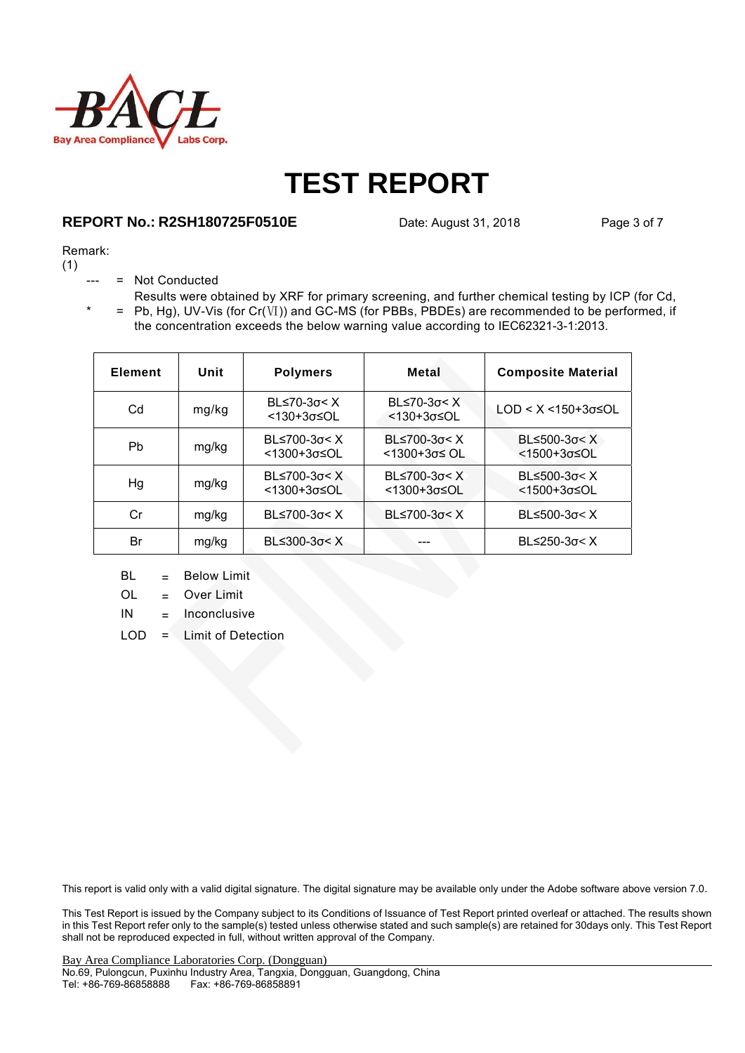

### **REPORT No.: R2SH180725F0510E** Date: August 31, 2018 Page 3 of 7

#### Remark:

(1)

- = Not Conducted
- $* = Pb, Hg$ , UV-Vis (for Cr(Ⅵ)) and GC-MS (for PBBs, PBDEs) are recommended to be performed, if Results were obtained by XRF for primary screening, and further chemical testing by ICP (for Cd, the concentration exceeds the below warning value according to IEC62321-3-1:2013.

| <b>Element</b> | Unit  | <b>Polymers</b>                | Metal                                                 | <b>Composite Material</b>                                     |
|----------------|-------|--------------------------------|-------------------------------------------------------|---------------------------------------------------------------|
| Cd             | mg/kg | $BL≤70-3σ < X$<br><130+3σ≤OL   | BL $\leq 70-3\sigma < X$<br>$< 130 + 3\sigma \leq 0L$ | $LOD < X < 150+3σ ≤ OL$                                       |
| Pb             | mg/kg | BL≤700-3σ< X<br><1300+3σ≤OL    | $B≤700-3σ < X$<br><1300+3σ≤ OL                        | BL $\leq$ 500-3 $\sigma$ < X<br><1500+3σ≤OL                   |
| Hg             | mg/kg | $BL≤700-3σ < X$<br><1300+3σ≤OL | BL $\leq$ 700-3 $\sigma$ < X<br><1300+3σ≤OL           | BL $\leq$ 500-3 $\sigma$ < X<br>$<$ 1500+3 $\sigma$ $\leq$ OL |
| Cr             | mg/kg | $BL≤700-3σ < X$                | BL≤700-3σ< X                                          | $BL≤500-3σ < X$                                               |
| Br             | mg/kg | $B≤300-3σ < X$                 |                                                       | BL $\leq$ 250-3 $\sigma$ < X                                  |

- BL = Below Limit
- OL = Over Limit
- $IN = Inconclusive$
- LOD = Limit of Detection

This report is valid only with a valid digital signature. The digital signature may be available only under the Adobe software above version 7.0.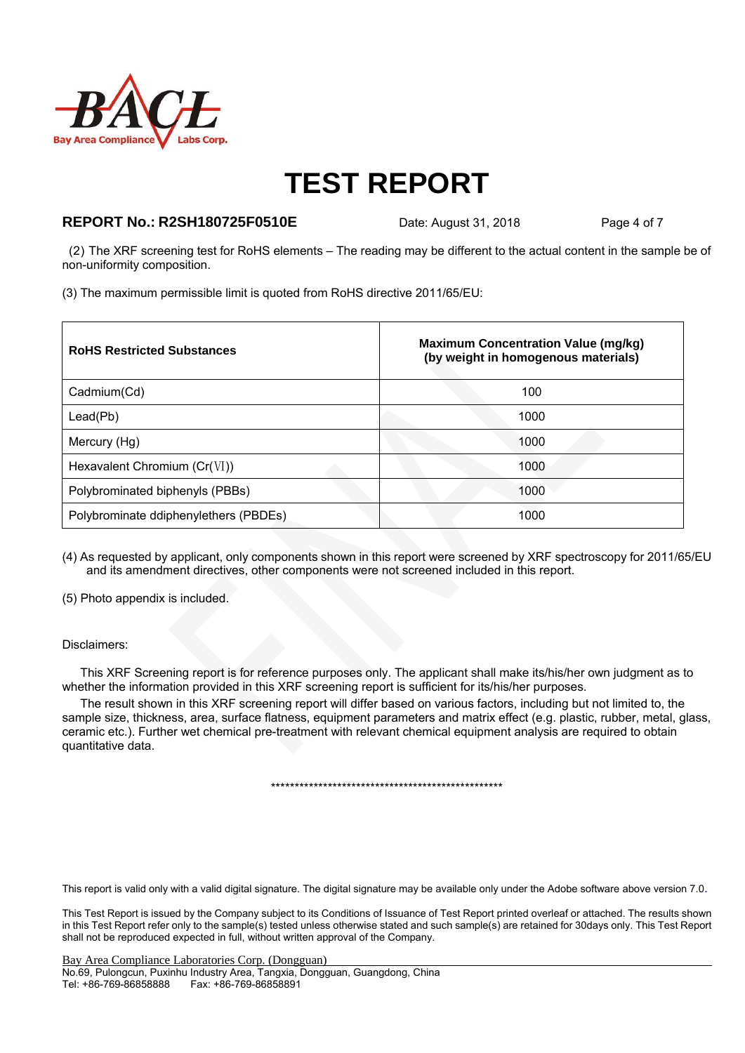

### **REPORT No.: R2SH180725F0510E** Date: August 31, 2018 Page 4 of 7

 (2) The XRF screening test for RoHS elements – The reading may be different to the actual content in the sample be of non-uniformity composition.

(3) The maximum permissible limit is quoted from RoHS directive 2011/65/EU:

| <b>RoHS Restricted Substances</b>     | <b>Maximum Concentration Value (mg/kg)</b><br>(by weight in homogenous materials) |
|---------------------------------------|-----------------------------------------------------------------------------------|
| Cadmium(Cd)                           | 100                                                                               |
| Lead(Pb)                              | 1000                                                                              |
| Mercury (Hg)                          | 1000                                                                              |
| Hexavalent Chromium $(Cr(VI))$        | 1000                                                                              |
| Polybrominated biphenyls (PBBs)       | 1000                                                                              |
| Polybrominate ddiphenylethers (PBDEs) | 1000                                                                              |

(4) As requested by applicant, only components shown in this report were screened by XRF spectroscopy for 2011/65/EU and its amendment directives, other components were not screened included in this report.

(5) Photo appendix is included.

#### Disclaimers:

This XRF Screening report is for reference purposes only. The applicant shall make its/his/her own judgment as to whether the information provided in this XRF screening report is sufficient for its/his/her purposes.

The result shown in this XRF screening report will differ based on various factors, including but not limited to, the sample size, thickness, area, surface flatness, equipment parameters and matrix effect (e.g. plastic, rubber, metal, glass, ceramic etc.). Further wet chemical pre-treatment with relevant chemical equipment analysis are required to obtain quantitative data.

\*\*\*\*\*\*\*\*\*\*\*\*\*\*\*\*\*\*\*\*\*\*\*\*\*\*\*\*\*\*\*\*\*\*\*\*\*\*\*\*\*\*\*\*\*\*\*\*\*

This report is valid only with a valid digital signature. The digital signature may be available only under the Adobe software above version 7.0.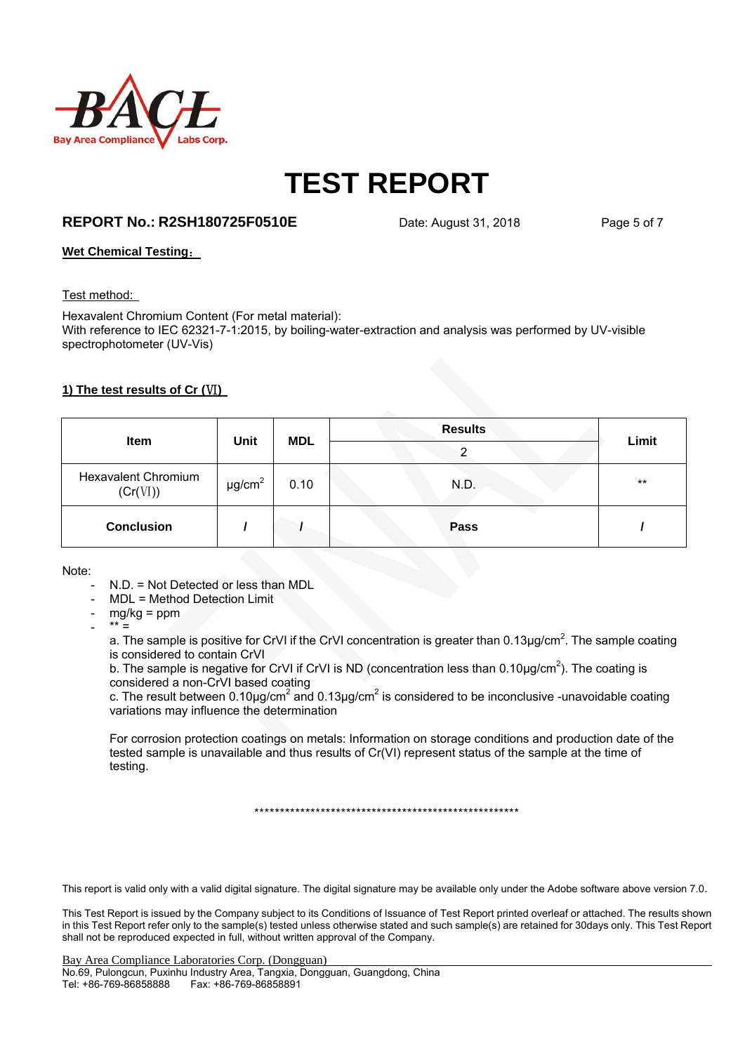

### **REPORT No.: R2SH180725F0510E** Date: August 31, 2018 Page 5 of 7

### **Wet Chemical Testing**:

#### Test method:

Hexavalent Chromium Content (For metal material): With reference to IEC 62321-7-1:2015, by boiling-water-extraction and analysis was performed by UV-visible spectrophotometer (UV-Vis)

### **1) The test results of Cr (**Ⅵ**)**

| <b>Item</b>                            | <b>Unit</b>             | <b>MDL</b> | <b>Results</b><br>ົ | Limit |
|----------------------------------------|-------------------------|------------|---------------------|-------|
| <b>Hexavalent Chromium</b><br>(Cr(VI)) | $\mu$ g/cm <sup>2</sup> | 0.10       | N.D.                | $***$ |
| <b>Conclusion</b>                      |                         |            | Pass                |       |

Note:

- N.D. = Not Detected or less than MDL
- MDL = Method Detection Limit
- mg/kg = ppm
- $***$  =

a. The sample is positive for CrVI if the CrVI concentration is greater than 0.13 $\mu$ g/cm<sup>2</sup>. The sample coating is considered to contain CrVI

b. The sample is negative for CrVI if CrVI is ND (concentration less than  $0.10 \mu g/cm^2$ ). The coating is considered a non-CrVI based coating

c. The result between 0.10µg/cm<sup>2</sup> and 0.13µg/cm<sup>2</sup> is considered to be inconclusive -unavoidable coating variations may influence the determination

For corrosion protection coatings on metals: Information on storage conditions and production date of the tested sample is unavailable and thus results of Cr(VI) represent status of the sample at the time of testing.

\*\*\*\*\*\*\*\*\*\*\*\*\*\*\*\*\*\*\*\*\*\*\*\*\*\*\*\*\*\*\*\*\*\*\*\*\*\*\*\*\*\*\*\*\*\*\*\*\*\*\*\*

This report is valid only with a valid digital signature. The digital signature may be available only under the Adobe software above version 7.0.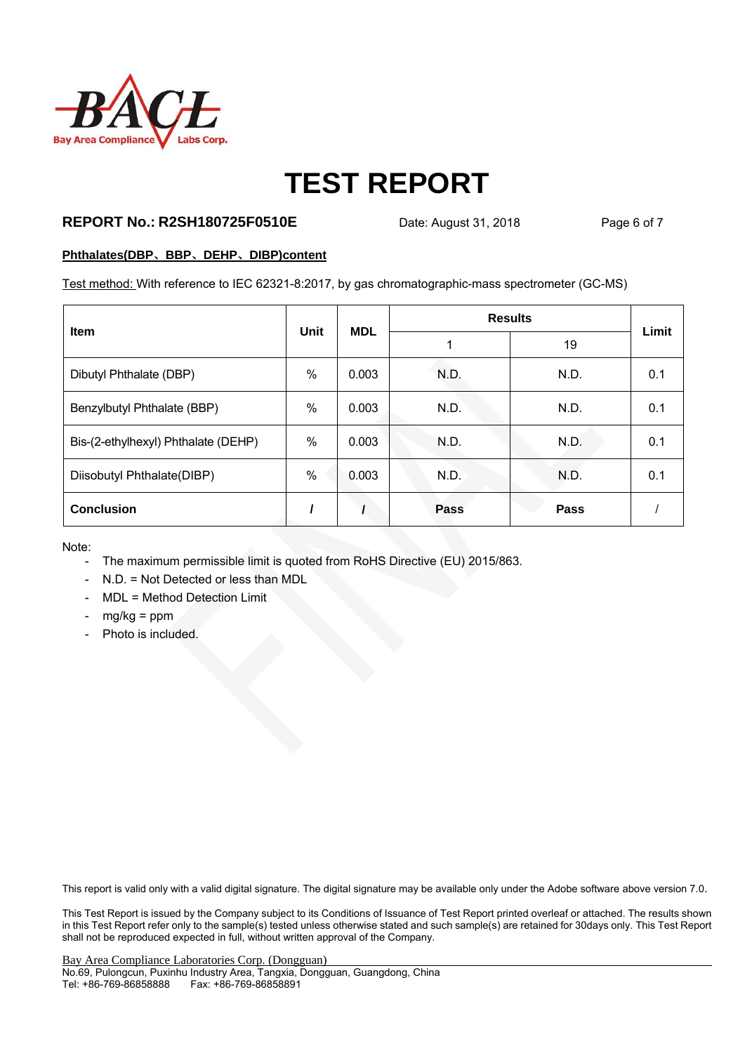

### **REPORT No.: R2SH180725F0510E** Date: August 31, 2018 Page 6 of 7

#### **Phthalates(DBP**、**BBP**、**DEHP**、**DIBP)content**

Test method: With reference to IEC 62321-8:2017, by gas chromatographic-mass spectrometer (GC-MS)

| <b>Item</b>                         | <b>Unit</b> | <b>MDL</b> | <b>Results</b> |      |       |
|-------------------------------------|-------------|------------|----------------|------|-------|
|                                     |             |            |                | 19   | Limit |
| Dibutyl Phthalate (DBP)             | $\%$        | 0.003      | N.D.           | N.D. | 0.1   |
| Benzylbutyl Phthalate (BBP)         | $\%$        | 0.003      | N.D.           | N.D. | 0.1   |
| Bis-(2-ethylhexyl) Phthalate (DEHP) | $\%$        | 0.003      | N.D.           | N.D. | 0.1   |
| Diisobutyl Phthalate(DIBP)          | $\%$        | 0.003      | N.D.           | N.D. | 0.1   |
| <b>Conclusion</b>                   |             |            | <b>Pass</b>    | Pass |       |

Note:

- The maximum permissible limit is quoted from RoHS Directive (EU) 2015/863.
- N.D. = Not Detected or less than MDL
- MDL = Method Detection Limit
- $mg/kg = ppm$
- Photo is included.

This report is valid only with a valid digital signature. The digital signature may be available only under the Adobe software above version 7.0.